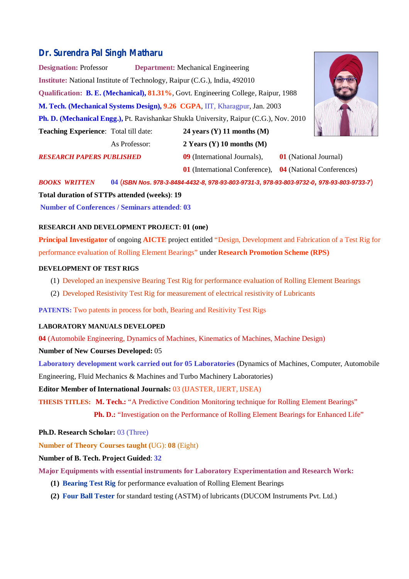# **Dr. Surendra Pal Singh Matharu**

**Designation:** Professor **Department:** Mechanical Engineering **Institute:** National Institute of Technology, Raipur (C.G.), India, 492010 **Qualification: B. E. (Mechanical), 81.31%**, Govt. Engineering College, Raipur, 1988 **M. Tech. (Mechanical Systems Design), 9.26 CGPA**, IIT, Kharagpur, Jan. 2003 **Ph. D. (Mechanical Engg.),** Pt. Ravishankar Shukla University, Raipur (C.G.), Nov. 2010 **Teaching Experience**: Total till date: **24 years (Y) 11 months (M)** As Professor: **2 Years (Y) 10 months (M)**

*RESEARCH PAPERS PUBLISHED* **09** (International Journals), **01** (National Journal)

**01** (International Conference), **04** (National Conferences)

*BOOKS WRITTEN* **04** (*ISBN Nos. 978-3-8484-4432-8, 978-93-803-9731-3, 978-93-803-9732-0, 978-93-803-9733-7*) **Total duration of STTPs attended (weeks)**: **19**

**Number of Conferences / Seminars attended**: **03**

# **RESEARCH AND DEVELOPMENT PROJECT: 01 (one)**

**Principal Investigator** of ongoing **AICTE** project entitled "Design, Development and Fabrication of a Test Rig for performance evaluation of Rolling Element Bearings" under **Research Promotion Scheme (RPS)**

# **DEVELOPMENT OF TEST RIGS**

- (1) Developed an inexpensive Bearing Test Rig for performance evaluation of Rolling Element Bearings
- (2) Developed Resistivity Test Rig for measurement of electrical resistivity of Lubricants

**PATENTS:** Two patents in process for both, Bearing and Resitivity Test Rigs

#### **LABORATORY MANUALS DEVELOPED**

**04** (Automobile Engineering, Dynamics of Machines, Kinematics of Machines, Machine Design)

#### **Number of New Courses Developed:** 05

**Laboratory development work carried out for 05 Laboratories** (Dynamics of Machines, Computer, Automobile

Engineering, Fluid Mechanics & Machines and Turbo Machinery Laboratories)

**Editor Member of International Journals:** 03 (IJASTER, IJERT, IJSEA)

**THESIS TITLES: M. Tech.:** "A Predictive Condition Monitoring technique for Rolling Element Bearings"

**Ph. D.:** "Investigation on the Performance of Rolling Element Bearings for Enhanced Life"

**Ph.D. Research Scholar:** 03 (Three)

**Number of Theory Courses taught (**UG): **08** (Eight)

## **Number of B. Tech. Project Guided**: **32**

**Major Equipments with essential instruments for Laboratory Experimentation and Research Work:**

- **(1) Bearing Test Rig** for performance evaluation of Rolling Element Bearings
- **(2) Four Ball Tester** for standard testing (ASTM) of lubricants (DUCOM Instruments Pvt. Ltd.)